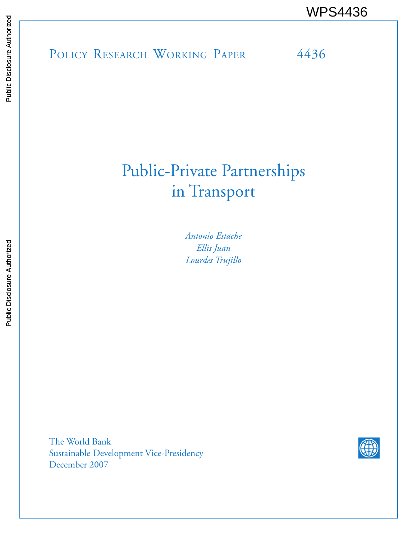# POLICY RESEARCH WORKING PAPER 4436 WPS4436

# Public-Private Partnerships in Transport

*Antonio Estache Ellis Juan Lourdes Trujillo*

The World Bank Sustainable Development Vice-Presidency December 2007

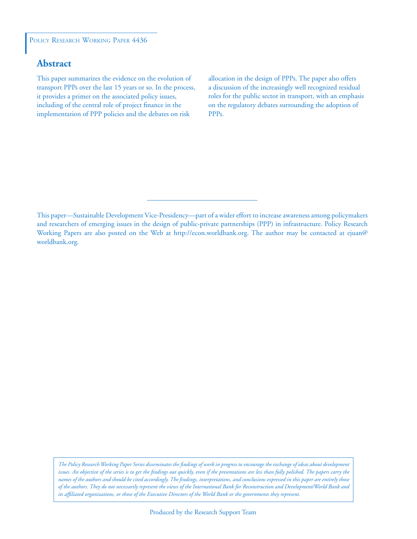POLICY RESEARCH WORKING PAPER 4436

## **Abstract**

This paper summarizes the evidence on the evolution of transport PPPs over the last 15 years or so. In the process, it provides a primer on the associated policy issues, including of the central role of project finance in the implementation of PPP policies and the debates on risk

allocation in the design of PPPs. The paper also offers a discussion of the increasingly well recognized residual roles for the public sector in transport, with an emphasis on the regulatory debates surrounding the adoption of PPP<sub>s</sub>.

This paper—Sustainable Development Vice-Presidency—part of a wider effort to increase awareness among policymakers and researchers of emerging issues in the design of public-private partnerships (PPP) in infrastructure. Policy Research Working Papers are also posted on the Web at http://econ.worldbank.org. The author may be contacted at ejuan@ worldbank.org.

*The Policy Research Working Paper Series disseminates the findings of work in progress to encourage the exchange of ideas about development issues. An objective of the series is to get the findings out quickly, even if the presentations are less than fully polished. The papers carry the names of the authors and should be cited accordingly. The findings, interpretations, and conclusions expressed in this paper are entirely those of the authors. They do not necessarily represent the views of the International Bank for Reconstruction and Development/World Bank and its affiliated organizations, or those of the Executive Directors of the World Bank or the governments they represent.*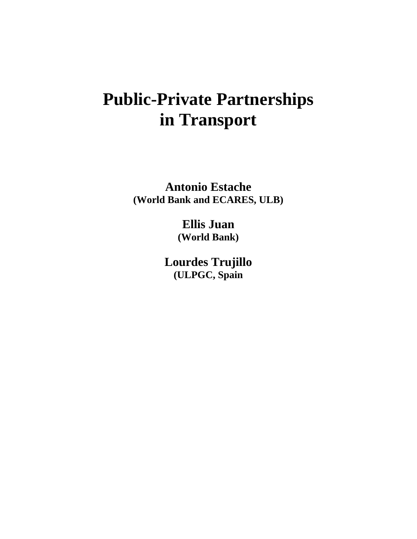# **Public-Private Partnerships in Transport**

**Antonio Estache (World Bank and ECARES, ULB)** 

> **Ellis Juan (World Bank)**

**Lourdes Trujillo (ULPGC, Spain**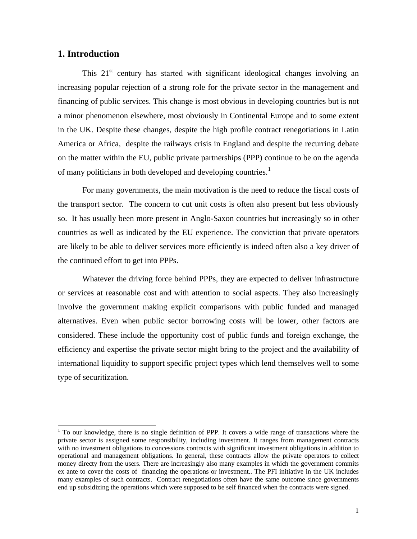### **1. Introduction**

-

This  $21<sup>st</sup>$  century has started with significant ideological changes involving an increasing popular rejection of a strong role for the private sector in the management and financing of public services. This change is most obvious in developing countries but is not a minor phenomenon elsewhere, most obviously in Continental Europe and to some extent in the UK. Despite these changes, despite the high profile contract renegotiations in Latin America or Africa, despite the railways crisis in England and despite the recurring debate on the matter within the EU, public private partnerships (PPP) continue to be on the agenda of many politicians in both developed and developing countries.<sup>[1](#page-3-0)</sup>

For many governments, the main motivation is the need to reduce the fiscal costs of the transport sector. The concern to cut unit costs is often also present but less obviously so. It has usually been more present in Anglo-Saxon countries but increasingly so in other countries as well as indicated by the EU experience. The conviction that private operators are likely to be able to deliver services more efficiently is indeed often also a key driver of the continued effort to get into PPPs.

Whatever the driving force behind PPPs, they are expected to deliver infrastructure or services at reasonable cost and with attention to social aspects. They also increasingly involve the government making explicit comparisons with public funded and managed alternatives. Even when public sector borrowing costs will be lower, other factors are considered. These include the opportunity cost of public funds and foreign exchange, the efficiency and expertise the private sector might bring to the project and the availability of international liquidity to support specific project types which lend themselves well to some type of securitization.

<span id="page-3-0"></span> $1$  To our knowledge, there is no single definition of PPP. It covers a wide range of transactions where the private sector is assigned some responsibility, including investment. It ranges from management contracts with no investment obligations to concessions contracts with significant investment obligations in addition to operational and management obligations. In general, these contracts allow the private operators to collect money directy from the users. There are increasingly also many examples in which the government commits ex ante to cover the costs of financing the operations or investment.. The PFI initiative in the UK includes many examples of such contracts. Contract renegotiations often have the same outcome since governments end up subsidizing the operations which were supposed to be self financed when the contracts were signed.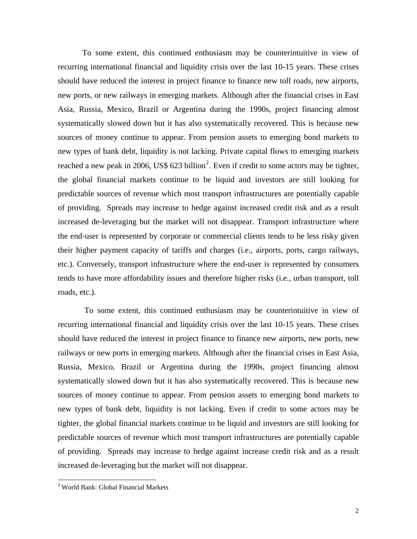To some extent, this continued enthusiasm may be counterintuitive in view of recurring international financial and liquidity crisis over the last 10-15 years. These crises should have reduced the interest in project finance to finance new toll roads, new airports, new ports, or new railways in emerging markets. Although after the financial crises in East Asia, Russia, Mexico, Brazil or Argentina during the 1990s, project financing almost systematically slowed down but it has also systematically recovered. This is because new sources of money continue to appear. From pension assets to emerging bond markets to new types of bank debt, liquidity is not lacking. Private capital flows to emerging markets reached a new peak in [2](#page-4-0)006, US\$ 623 billion<sup>2</sup>. Even if credit to some actors may be tighter, the global financial markets continue to be liquid and investors are still looking for predictable sources of revenue which most transport infrastructures are potentially capable of providing. Spreads may increase to hedge against increased credit risk and as a result increased de-leveraging but the market will not disappear. Transport infrastructure where the end-user is represented by corporate or commercial clients tends to be less risky given their higher payment capacity of tariffs and charges (i.e., airports, ports, cargo railways, etc.). Conversely, transport infrastructure where the end-user is represented by consumers tends to have more affordability issues and therefore higher risks (i.e., urban transport, toll roads, etc.).

 To some extent, this continued enthusiasm may be counterintuitive in view of recurring international financial and liquidity crisis over the last 10-15 years. These crises should have reduced the interest in project finance to finance new airports, new ports, new railways or new ports in emerging markets. Although after the financial crises in East Asia, Russia, Mexico, Brazil or Argentina during the 1990s, project financing almost systematically slowed down but it has also systematically recovered. This is because new sources of money continue to appear. From pension assets to emerging bond markets to new types of bank debt, liquidity is not lacking. Even if credit to some actors may be tighter, the global financial markets continue to be liquid and investors are still looking for predictable sources of revenue which most transport infrastructures are potentially capable of providing. Spreads may increase to hedge against increase credit risk and as a result increased de-leveraging but the market will not disappear.

<span id="page-4-0"></span><sup>2</sup> World Bank: Global Financial Markets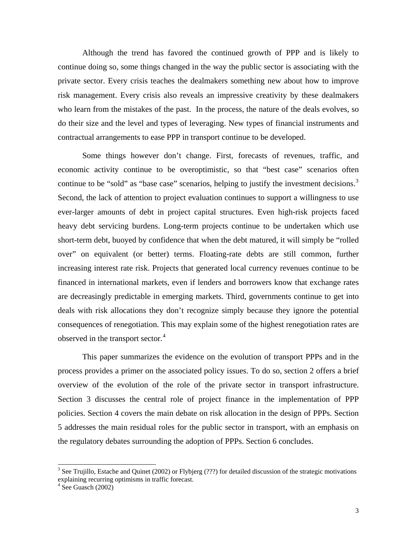Although the trend has favored the continued growth of PPP and is likely to continue doing so, some things changed in the way the public sector is associating with the private sector. Every crisis teaches the dealmakers something new about how to improve risk management. Every crisis also reveals an impressive creativity by these dealmakers who learn from the mistakes of the past. In the process, the nature of the deals evolves, so do their size and the level and types of leveraging. New types of financial instruments and contractual arrangements to ease PPP in transport continue to be developed.

Some things however don't change. First, forecasts of revenues, traffic, and economic activity continue to be overoptimistic, so that "best case" scenarios often continue to be "sold" as "base case" scenarios, helping to justify the investment decisions.<sup>[3](#page-5-0)</sup> Second, the lack of attention to project evaluation continues to support a willingness to use ever-larger amounts of debt in project capital structures. Even high-risk projects faced heavy debt servicing burdens. Long-term projects continue to be undertaken which use short-term debt, buoyed by confidence that when the debt matured, it will simply be "rolled over" on equivalent (or better) terms. Floating-rate debts are still common, further increasing interest rate risk. Projects that generated local currency revenues continue to be financed in international markets, even if lenders and borrowers know that exchange rates are decreasingly predictable in emerging markets. Third, governments continue to get into deals with risk allocations they don't recognize simply because they ignore the potential consequences of renegotiation. This may explain some of the highest renegotiation rates are observed in the transport sector.<sup>[4](#page-5-1)</sup>

This paper summarizes the evidence on the evolution of transport PPPs and in the process provides a primer on the associated policy issues. To do so, section 2 offers a brief overview of the evolution of the role of the private sector in transport infrastructure. Section 3 discusses the central role of project finance in the implementation of PPP policies. Section 4 covers the main debate on risk allocation in the design of PPPs. Section 5 addresses the main residual roles for the public sector in transport, with an emphasis on the regulatory debates surrounding the adoption of PPPs. Section 6 concludes.

 $\overline{a}$ 

<span id="page-5-0"></span> $3$  See Trujillo, Estache and Quinet (2002) or Flybjerg (???) for detailed discussion of the strategic motivations explaining recurring optimisms in traffic forecast.

<span id="page-5-1"></span> $4$  See Guasch (2002)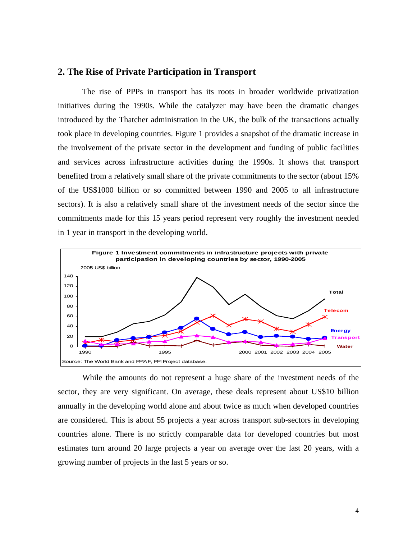## **2. The Rise of Private Participation in Transport**

The rise of PPPs in transport has its roots in broader worldwide privatization initiatives during the 1990s. While the catalyzer may have been the dramatic changes introduced by the Thatcher administration in the UK, the bulk of the transactions actually took place in developing countries. Figure 1 provides a snapshot of the dramatic increase in the involvement of the private sector in the development and funding of public facilities and services across infrastructure activities during the 1990s. It shows that transport benefited from a relatively small share of the private commitments to the sector (about 15% of the US\$1000 billion or so committed between 1990 and 2005 to all infrastructure sectors). It is also a relatively small share of the investment needs of the sector since the commitments made for this 15 years period represent very roughly the investment needed in 1 year in transport in the developing world.



While the amounts do not represent a huge share of the investment needs of the sector, they are very significant. On average, these deals represent about US\$10 billion annually in the developing world alone and about twice as much when developed countries are considered. This is about 55 projects a year across transport sub-sectors in developing countries alone. There is no strictly comparable data for developed countries but most estimates turn around 20 large projects a year on average over the last 20 years, with a growing number of projects in the last 5 years or so.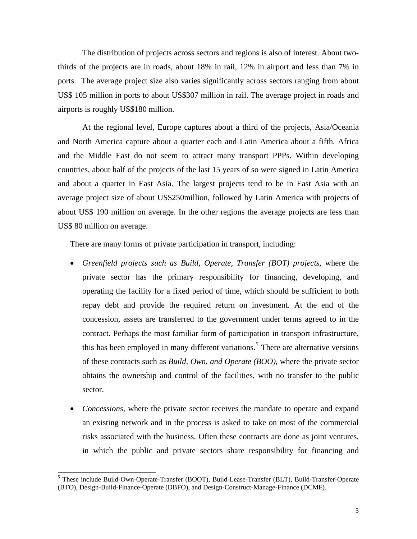The distribution of projects across sectors and regions is also of interest. About twothirds of the projects are in roads, about 18% in rail, 12% in airport and less than 7% in ports. The average project size also varies significantly across sectors ranging from about US\$ 105 million in ports to about US\$307 million in rail. The average project in roads and airports is roughly US\$180 million.

At the regional level, Europe captures about a third of the projects, Asia/Oceania and North America capture about a quarter each and Latin America about a fifth. Africa and the Middle East do not seem to attract many transport PPPs. Within developing countries, about half of the projects of the last 15 years of so were signed in Latin America and about a quarter in East Asia. The largest projects tend to be in East Asia with an average project size of about US\$250million, followed by Latin America with projects of about US\$ 190 million on average. In the other regions the average projects are less than US\$ 80 million on average.

There are many forms of private participation in transport, including:

- *Greenfield projects such as Build, Operate, Transfer (BOT) projects,* where the private sector has the primary responsibility for financing, developing, and operating the facility for a fixed period of time, which should be sufficient to both repay debt and provide the required return on investment. At the end of the concession, assets are transferred to the government under terms agreed to in the contract. Perhaps the most familiar form of participation in transport infrastructure, this has been employed in many different variations.<sup>[5](#page-7-0)</sup> There are alternative versions of these contracts such as *Build, Own, and Operate (BOO)*, where the private sector obtains the ownership and control of the facilities, with no transfer to the public sector.
- *Concessions,* where the private sector receives the mandate to operate and expand an existing network and in the process is asked to take on most of the commercial risks associated with the business. Often these contracts are done as joint ventures, in which the public and private sectors share responsibility for financing and

<span id="page-7-0"></span><sup>&</sup>lt;sup>5</sup> These include Build-Own-Operate-Transfer (BOOT), Build-Lease-Transfer (BLT), Build-Transfer-Operate (BTO), Design-Build-Finance-Operate (DBFO), and Design-Construct-Manage-Finance (DCMF).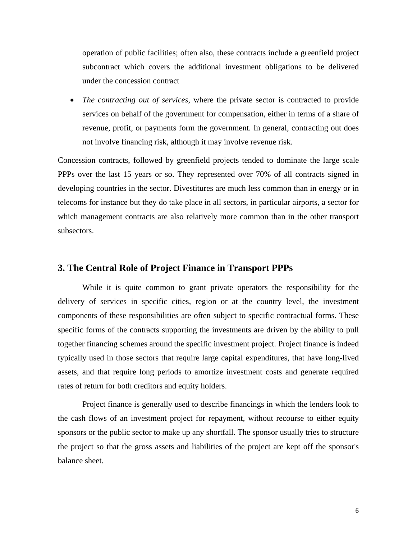operation of public facilities; often also, these contracts include a greenfield project subcontract which covers the additional investment obligations to be delivered under the concession contract

• *The contracting out of services*, where the private sector is contracted to provide services on behalf of the government for compensation, either in terms of a share of revenue, profit, or payments form the government. In general, contracting out does not involve financing risk, although it may involve revenue risk.

Concession contracts, followed by greenfield projects tended to dominate the large scale PPPs over the last 15 years or so. They represented over 70% of all contracts signed in developing countries in the sector. Divestitures are much less common than in energy or in telecoms for instance but they do take place in all sectors, in particular airports, a sector for which management contracts are also relatively more common than in the other transport subsectors.

#### **3. The Central Role of Project Finance in Transport PPPs**

While it is quite common to grant private operators the responsibility for the delivery of services in specific cities, region or at the country level, the investment components of these responsibilities are often subject to specific contractual forms. These specific forms of the contracts supporting the investments are driven by the ability to pull together financing schemes around the specific investment project. Project finance is indeed typically used in those sectors that require large capital expenditures, that have long-lived assets, and that require long periods to amortize investment costs and generate required rates of return for both creditors and equity holders.

Project finance is generally used to describe financings in which the lenders look to the cash flows of an investment project for repayment, without recourse to either equity sponsors or the public sector to make up any shortfall. The sponsor usually tries to structure the project so that the gross assets and liabilities of the project are kept off the sponsor's balance sheet.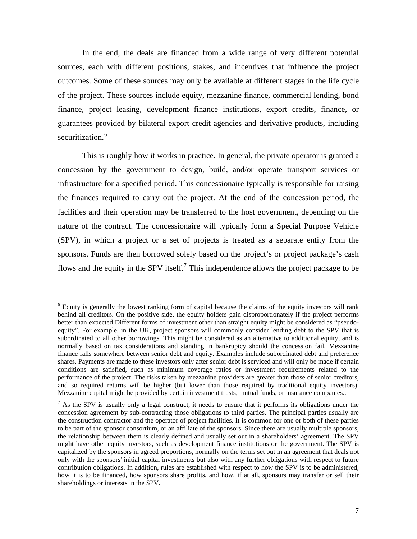In the end, the deals are financed from a wide range of very different potential sources, each with different positions, stakes, and incentives that influence the project outcomes. Some of these sources may only be available at different stages in the life cycle of the project. These sources include equity, mezzanine finance, commercial lending, bond finance, project leasing, development finance institutions, export credits, finance, or guarantees provided by bilateral export credit agencies and derivative products, including securitization.<sup>[6](#page-9-0)</sup>

This is roughly how it works in practice. In general, the private operator is granted a concession by the government to design, build, and/or operate transport services or infrastructure for a specified period. This concessionaire typically is responsible for raising the finances required to carry out the project. At the end of the concession period, the facilities and their operation may be transferred to the host government, depending on the nature of the contract. The concessionaire will typically form a Special Purpose Vehicle (SPV), in which a project or a set of projects is treated as a separate entity from the sponsors. Funds are then borrowed solely based on the project's or project package's cash flows and the equity in the SPV itself.<sup>[7](#page-9-1)</sup> This independence allows the project package to be

<span id="page-9-0"></span><sup>&</sup>lt;sup>6</sup> Equity is generally the lowest ranking form of capital because the claims of the equity investors will rank behind all creditors. On the positive side, the equity holders gain disproportionately if the project performs better than expected Different forms of investment other than straight equity might be considered as "pseudoequity". For example, in the UK, project sponsors will commonly consider lending debt to the SPV that is subordinated to all other borrowings. This might be considered as an alternative to additional equity, and is normally based on tax considerations and standing in bankruptcy should the concession fail. Mezzanine finance falls somewhere between senior debt and equity. Examples include subordinated debt and preference shares. Payments are made to these investors only after senior debt is serviced and will only be made if certain conditions are satisfied, such as minimum coverage ratios or investment requirements related to the performance of the project. The risks taken by mezzanine providers are greater than those of senior creditors, and so required returns will be higher (but lower than those required by traditional equity investors). Mezzanine capital might be provided by certain investment trusts, mutual funds, or insurance companies..

<span id="page-9-1"></span> $<sup>7</sup>$  As the SPV is usually only a legal construct, it needs to ensure that it performs its obligations under the</sup> concession agreement by sub-contracting those obligations to third parties. The principal parties usually are the construction contractor and the operator of project facilities. It is common for one or both of these parties to be part of the sponsor consortium, or an affiliate of the sponsors. Since there are usually multiple sponsors, the relationship between them is clearly defined and usually set out in a shareholders' agreement. The SPV might have other equity investors, such as development finance institutions or the government. The SPV is capitalized by the sponsors in agreed proportions, normally on the terms set out in an agreement that deals not only with the sponsors' initial capital investments but also with any further obligations with respect to future contribution obligations. In addition, rules are established with respect to how the SPV is to be administered, how it is to be financed, how sponsors share profits, and how, if at all, sponsors may transfer or sell their shareholdings or interests in the SPV.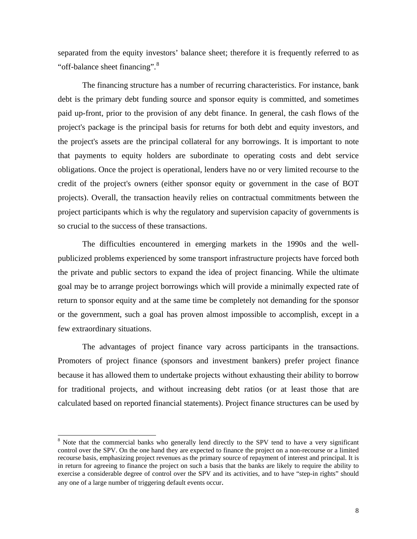separated from the equity investors' balance sheet; therefore it is frequently referred to as "off-balance sheet financing".<sup>[8](#page-10-0)</sup>

The financing structure has a number of recurring characteristics. For instance, bank debt is the primary debt funding source and sponsor equity is committed, and sometimes paid up-front, prior to the provision of any debt finance. In general, the cash flows of the project's package is the principal basis for returns for both debt and equity investors, and the project's assets are the principal collateral for any borrowings. It is important to note that payments to equity holders are subordinate to operating costs and debt service obligations. Once the project is operational, lenders have no or very limited recourse to the credit of the project's owners (either sponsor equity or government in the case of BOT projects). Overall, the transaction heavily relies on contractual commitments between the project participants which is why the regulatory and supervision capacity of governments is so crucial to the success of these transactions.

The difficulties encountered in emerging markets in the 1990s and the wellpublicized problems experienced by some transport infrastructure projects have forced both the private and public sectors to expand the idea of project financing. While the ultimate goal may be to arrange project borrowings which will provide a minimally expected rate of return to sponsor equity and at the same time be completely not demanding for the sponsor or the government, such a goal has proven almost impossible to accomplish, except in a few extraordinary situations.

The advantages of project finance vary across participants in the transactions. Promoters of project finance (sponsors and investment bankers) prefer project finance because it has allowed them to undertake projects without exhausting their ability to borrow for traditional projects, and without increasing debt ratios (or at least those that are calculated based on reported financial statements). Project finance structures can be used by

<span id="page-10-0"></span><sup>&</sup>lt;sup>8</sup> Note that the commercial banks who generally lend directly to the SPV tend to have a very significant control over the SPV. On the one hand they are expected to finance the project on a non-recourse or a limited recourse basis, emphasizing project revenues as the primary source of repayment of interest and principal. It is in return for agreeing to finance the project on such a basis that the banks are likely to require the ability to exercise a considerable degree of control over the SPV and its activities, and to have "step-in rights" should any one of a large number of triggering default events occur.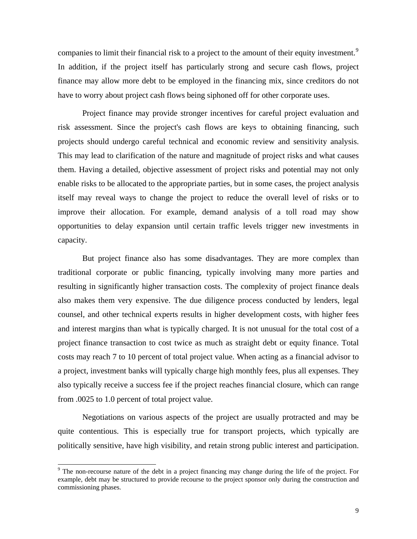companies to limit their financial risk to a project to the amount of their equity investment.<sup>[9](#page-11-0)</sup> In addition, if the project itself has particularly strong and secure cash flows, project finance may allow more debt to be employed in the financing mix, since creditors do not have to worry about project cash flows being siphoned off for other corporate uses.

Project finance may provide stronger incentives for careful project evaluation and risk assessment. Since the project's cash flows are keys to obtaining financing, such projects should undergo careful technical and economic review and sensitivity analysis. This may lead to clarification of the nature and magnitude of project risks and what causes them. Having a detailed, objective assessment of project risks and potential may not only enable risks to be allocated to the appropriate parties, but in some cases, the project analysis itself may reveal ways to change the project to reduce the overall level of risks or to improve their allocation. For example, demand analysis of a toll road may show opportunities to delay expansion until certain traffic levels trigger new investments in capacity.

But project finance also has some disadvantages. They are more complex than traditional corporate or public financing, typically involving many more parties and resulting in significantly higher transaction costs. The complexity of project finance deals also makes them very expensive. The due diligence process conducted by lenders, legal counsel, and other technical experts results in higher development costs, with higher fees and interest margins than what is typically charged. It is not unusual for the total cost of a project finance transaction to cost twice as much as straight debt or equity finance. Total costs may reach 7 to 10 percent of total project value. When acting as a financial advisor to a project, investment banks will typically charge high monthly fees, plus all expenses. They also typically receive a success fee if the project reaches financial closure, which can range from .0025 to 1.0 percent of total project value.

Negotiations on various aspects of the project are usually protracted and may be quite contentious. This is especially true for transport projects, which typically are politically sensitive, have high visibility, and retain strong public interest and participation.

 $\overline{a}$ 

<span id="page-11-0"></span><sup>&</sup>lt;sup>9</sup> The non-recourse nature of the debt in a project financing may change during the life of the project. For example, debt may be structured to provide recourse to the project sponsor only during the construction and commissioning phases.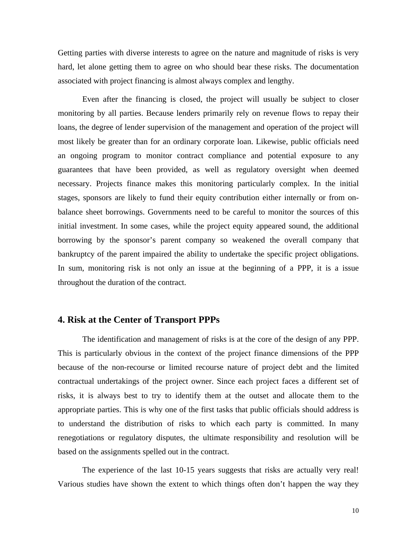Getting parties with diverse interests to agree on the nature and magnitude of risks is very hard, let alone getting them to agree on who should bear these risks. The documentation associated with project financing is almost always complex and lengthy.

Even after the financing is closed, the project will usually be subject to closer monitoring by all parties. Because lenders primarily rely on revenue flows to repay their loans, the degree of lender supervision of the management and operation of the project will most likely be greater than for an ordinary corporate loan. Likewise, public officials need an ongoing program to monitor contract compliance and potential exposure to any guarantees that have been provided, as well as regulatory oversight when deemed necessary. Projects finance makes this monitoring particularly complex. In the initial stages, sponsors are likely to fund their equity contribution either internally or from onbalance sheet borrowings. Governments need to be careful to monitor the sources of this initial investment. In some cases, while the project equity appeared sound, the additional borrowing by the sponsor's parent company so weakened the overall company that bankruptcy of the parent impaired the ability to undertake the specific project obligations. In sum, monitoring risk is not only an issue at the beginning of a PPP, it is a issue throughout the duration of the contract.

#### **4. Risk at the Center of Transport PPPs**

The identification and management of risks is at the core of the design of any PPP. This is particularly obvious in the context of the project finance dimensions of the PPP because of the non-recourse or limited recourse nature of project debt and the limited contractual undertakings of the project owner. Since each project faces a different set of risks, it is always best to try to identify them at the outset and allocate them to the appropriate parties. This is why one of the first tasks that public officials should address is to understand the distribution of risks to which each party is committed. In many renegotiations or regulatory disputes, the ultimate responsibility and resolution will be based on the assignments spelled out in the contract.

The experience of the last 10-15 years suggests that risks are actually very real! Various studies have shown the extent to which things often don't happen the way they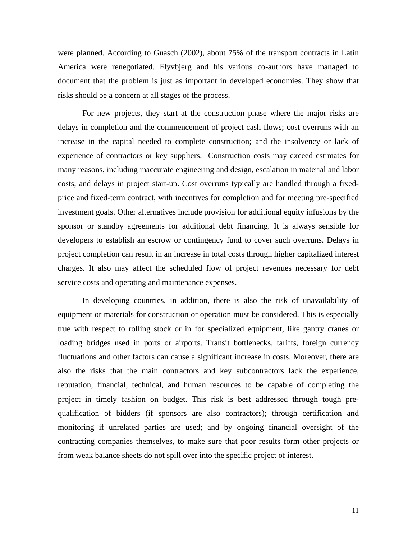were planned. According to Guasch (2002), about 75% of the transport contracts in Latin America were renegotiated. Flyvbjerg and his various co-authors have managed to document that the problem is just as important in developed economies. They show that risks should be a concern at all stages of the process.

For new projects, they start at the construction phase where the major risks are delays in completion and the commencement of project cash flows; cost overruns with an increase in the capital needed to complete construction; and the insolvency or lack of experience of contractors or key suppliers. Construction costs may exceed estimates for many reasons, including inaccurate engineering and design, escalation in material and labor costs, and delays in project start-up. Cost overruns typically are handled through a fixedprice and fixed-term contract, with incentives for completion and for meeting pre-specified investment goals. Other alternatives include provision for additional equity infusions by the sponsor or standby agreements for additional debt financing. It is always sensible for developers to establish an escrow or contingency fund to cover such overruns. Delays in project completion can result in an increase in total costs through higher capitalized interest charges. It also may affect the scheduled flow of project revenues necessary for debt service costs and operating and maintenance expenses.

In developing countries, in addition, there is also the risk of unavailability of equipment or materials for construction or operation must be considered. This is especially true with respect to rolling stock or in for specialized equipment, like gantry cranes or loading bridges used in ports or airports. Transit bottlenecks, tariffs, foreign currency fluctuations and other factors can cause a significant increase in costs. Moreover, there are also the risks that the main contractors and key subcontractors lack the experience, reputation, financial, technical, and human resources to be capable of completing the project in timely fashion on budget. This risk is best addressed through tough prequalification of bidders (if sponsors are also contractors); through certification and monitoring if unrelated parties are used; and by ongoing financial oversight of the contracting companies themselves, to make sure that poor results form other projects or from weak balance sheets do not spill over into the specific project of interest.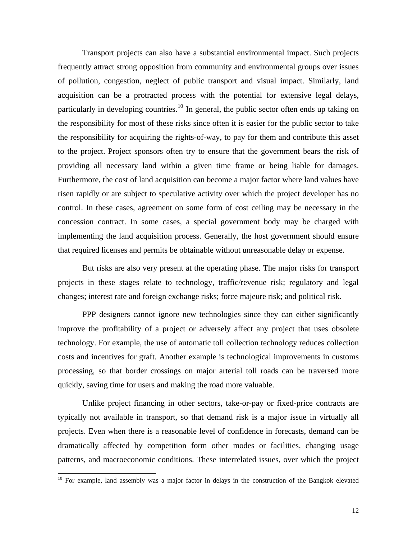Transport projects can also have a substantial environmental impact. Such projects frequently attract strong opposition from community and environmental groups over issues of pollution, congestion, neglect of public transport and visual impact. Similarly, land acquisition can be a protracted process with the potential for extensive legal delays, particularly in developing countries.<sup>[10](#page-14-0)</sup> In general, the public sector often ends up taking on the responsibility for most of these risks since often it is easier for the public sector to take the responsibility for acquiring the rights-of-way, to pay for them and contribute this asset to the project. Project sponsors often try to ensure that the government bears the risk of providing all necessary land within a given time frame or being liable for damages. Furthermore, the cost of land acquisition can become a major factor where land values have risen rapidly or are subject to speculative activity over which the project developer has no control. In these cases, agreement on some form of cost ceiling may be necessary in the concession contract. In some cases, a special government body may be charged with implementing the land acquisition process. Generally, the host government should ensure that required licenses and permits be obtainable without unreasonable delay or expense.

But risks are also very present at the operating phase. The major risks for transport projects in these stages relate to technology, traffic/revenue risk; regulatory and legal changes; interest rate and foreign exchange risks; force majeure risk; and political risk.

PPP designers cannot ignore new technologies since they can either significantly improve the profitability of a project or adversely affect any project that uses obsolete technology. For example, the use of automatic toll collection technology reduces collection costs and incentives for graft. Another example is technological improvements in customs processing, so that border crossings on major arterial toll roads can be traversed more quickly, saving time for users and making the road more valuable.

Unlike project financing in other sectors, take-or-pay or fixed-price contracts are typically not available in transport, so that demand risk is a major issue in virtually all projects. Even when there is a reasonable level of confidence in forecasts, demand can be dramatically affected by competition form other modes or facilities, changing usage patterns, and macroeconomic conditions. These interrelated issues, over which the project

<span id="page-14-0"></span><sup>&</sup>lt;sup>10</sup> For example, land assembly was a major factor in delays in the construction of the Bangkok elevated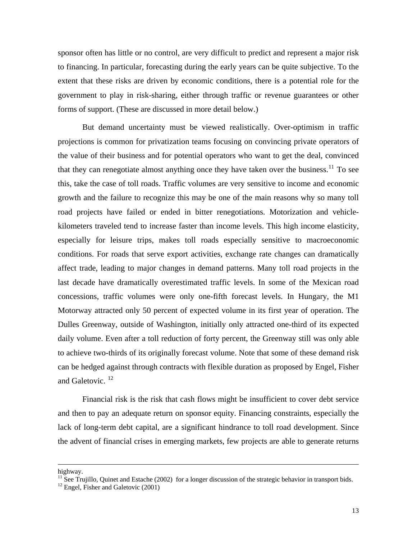sponsor often has little or no control, are very difficult to predict and represent a major risk to financing. In particular, forecasting during the early years can be quite subjective. To the extent that these risks are driven by economic conditions, there is a potential role for the government to play in risk-sharing, either through traffic or revenue guarantees or other forms of support. (These are discussed in more detail below.)

But demand uncertainty must be viewed realistically. Over-optimism in traffic projections is common for privatization teams focusing on convincing private operators of the value of their business and for potential operators who want to get the deal, convinced that they can renegotiate almost anything once they have taken over the business.<sup>[11](#page-15-0)</sup> To see this, take the case of toll roads. Traffic volumes are very sensitive to income and economic growth and the failure to recognize this may be one of the main reasons why so many toll road projects have failed or ended in bitter renegotiations. Motorization and vehiclekilometers traveled tend to increase faster than income levels. This high income elasticity, especially for leisure trips, makes toll roads especially sensitive to macroeconomic conditions. For roads that serve export activities, exchange rate changes can dramatically affect trade, leading to major changes in demand patterns. Many toll road projects in the last decade have dramatically overestimated traffic levels. In some of the Mexican road concessions, traffic volumes were only one-fifth forecast levels. In Hungary, the M1 Motorway attracted only 50 percent of expected volume in its first year of operation. The Dulles Greenway, outside of Washington, initially only attracted one-third of its expected daily volume. Even after a toll reduction of forty percent, the Greenway still was only able to achieve two-thirds of its originally forecast volume. Note that some of these demand risk can be hedged against through contracts with flexible duration as proposed by Engel, Fisher and Galetovic. [12](#page-15-1)

Financial risk is the risk that cash flows might be insufficient to cover debt service and then to pay an adequate return on sponsor equity. Financing constraints, especially the lack of long-term debt capital, are a significant hindrance to toll road development. Since the advent of financial crises in emerging markets, few projects are able to generate returns

l

<span id="page-15-0"></span>highway.

<span id="page-15-1"></span><sup>&</sup>lt;sup>11</sup> See Trujillo, Quinet and Estache (2002) for a longer discussion of the strategic behavior in transport bids. <sup>12</sup> Engel, Fisher and Galetovic (2001)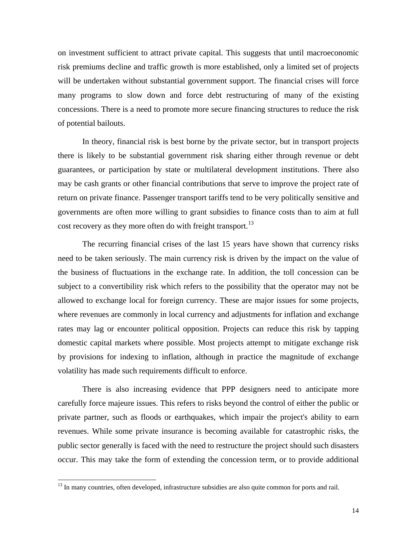on investment sufficient to attract private capital. This suggests that until macroeconomic risk premiums decline and traffic growth is more established, only a limited set of projects will be undertaken without substantial government support. The financial crises will force many programs to slow down and force debt restructuring of many of the existing concessions. There is a need to promote more secure financing structures to reduce the risk of potential bailouts.

In theory, financial risk is best borne by the private sector, but in transport projects there is likely to be substantial government risk sharing either through revenue or debt guarantees, or participation by state or multilateral development institutions. There also may be cash grants or other financial contributions that serve to improve the project rate of return on private finance. Passenger transport tariffs tend to be very politically sensitive and governments are often more willing to grant subsidies to finance costs than to aim at full cost recovery as they more often do with freight transport.<sup>[13](#page-16-0)</sup>

The recurring financial crises of the last 15 years have shown that currency risks need to be taken seriously. The main currency risk is driven by the impact on the value of the business of fluctuations in the exchange rate. In addition, the toll concession can be subject to a convertibility risk which refers to the possibility that the operator may not be allowed to exchange local for foreign currency. These are major issues for some projects, where revenues are commonly in local currency and adjustments for inflation and exchange rates may lag or encounter political opposition. Projects can reduce this risk by tapping domestic capital markets where possible. Most projects attempt to mitigate exchange risk by provisions for indexing to inflation, although in practice the magnitude of exchange volatility has made such requirements difficult to enforce.

There is also increasing evidence that PPP designers need to anticipate more carefully force majeure issues. This refers to risks beyond the control of either the public or private partner, such as floods or earthquakes, which impair the project's ability to earn revenues. While some private insurance is becoming available for catastrophic risks, the public sector generally is faced with the need to restructure the project should such disasters occur. This may take the form of extending the concession term, or to provide additional

<span id="page-16-0"></span> $13$  In many countries, often developed, infrastructure subsidies are also quite common for ports and rail.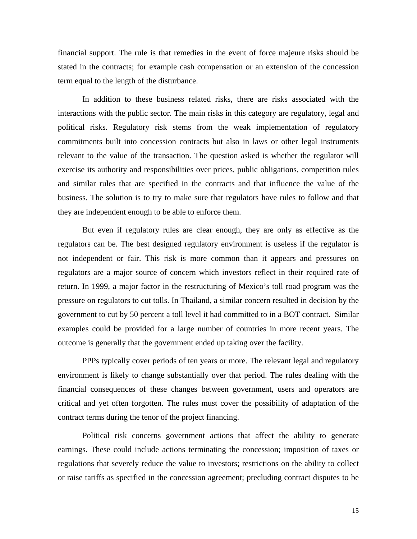financial support. The rule is that remedies in the event of force majeure risks should be stated in the contracts; for example cash compensation or an extension of the concession term equal to the length of the disturbance.

In addition to these business related risks, there are risks associated with the interactions with the public sector. The main risks in this category are regulatory, legal and political risks. Regulatory risk stems from the weak implementation of regulatory commitments built into concession contracts but also in laws or other legal instruments relevant to the value of the transaction. The question asked is whether the regulator will exercise its authority and responsibilities over prices, public obligations, competition rules and similar rules that are specified in the contracts and that influence the value of the business. The solution is to try to make sure that regulators have rules to follow and that they are independent enough to be able to enforce them.

But even if regulatory rules are clear enough, they are only as effective as the regulators can be. The best designed regulatory environment is useless if the regulator is not independent or fair. This risk is more common than it appears and pressures on regulators are a major source of concern which investors reflect in their required rate of return. In 1999, a major factor in the restructuring of Mexico's toll road program was the pressure on regulators to cut tolls. In Thailand, a similar concern resulted in decision by the government to cut by 50 percent a toll level it had committed to in a BOT contract. Similar examples could be provided for a large number of countries in more recent years. The outcome is generally that the government ended up taking over the facility.

PPPs typically cover periods of ten years or more. The relevant legal and regulatory environment is likely to change substantially over that period. The rules dealing with the financial consequences of these changes between government, users and operators are critical and yet often forgotten. The rules must cover the possibility of adaptation of the contract terms during the tenor of the project financing.

Political risk concerns government actions that affect the ability to generate earnings. These could include actions terminating the concession; imposition of taxes or regulations that severely reduce the value to investors; restrictions on the ability to collect or raise tariffs as specified in the concession agreement; precluding contract disputes to be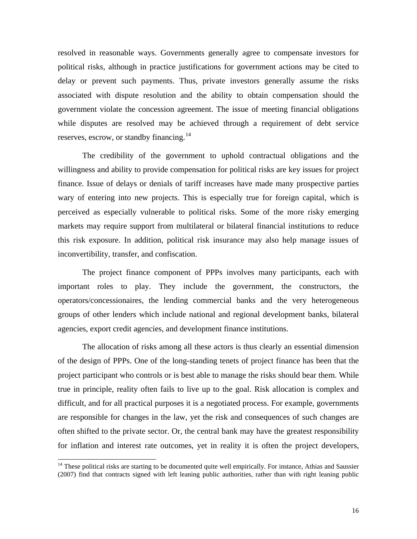resolved in reasonable ways. Governments generally agree to compensate investors for political risks, although in practice justifications for government actions may be cited to delay or prevent such payments. Thus, private investors generally assume the risks associated with dispute resolution and the ability to obtain compensation should the government violate the concession agreement. The issue of meeting financial obligations while disputes are resolved may be achieved through a requirement of debt service reserves, escrow, or standby financing.<sup>[14](#page-18-0)</sup>

The credibility of the government to uphold contractual obligations and the willingness and ability to provide compensation for political risks are key issues for project finance. Issue of delays or denials of tariff increases have made many prospective parties wary of entering into new projects. This is especially true for foreign capital, which is perceived as especially vulnerable to political risks. Some of the more risky emerging markets may require support from multilateral or bilateral financial institutions to reduce this risk exposure. In addition, political risk insurance may also help manage issues of inconvertibility, transfer, and confiscation.

The project finance component of PPPs involves many participants, each with important roles to play. They include the government, the constructors, the operators/concessionaires, the lending commercial banks and the very heterogeneous groups of other lenders which include national and regional development banks, bilateral agencies, export credit agencies, and development finance institutions.

The allocation of risks among all these actors is thus clearly an essential dimension of the design of PPPs. One of the long-standing tenets of project finance has been that the project participant who controls or is best able to manage the risks should bear them. While true in principle, reality often fails to live up to the goal. Risk allocation is complex and difficult, and for all practical purposes it is a negotiated process. For example, governments are responsible for changes in the law, yet the risk and consequences of such changes are often shifted to the private sector. Or, the central bank may have the greatest responsibility for inflation and interest rate outcomes, yet in reality it is often the project developers,

<span id="page-18-0"></span> $14$  These political risks are starting to be documented quite well empirically. For instance, Athias and Saussier (2007) find that contracts signed with left leaning public authorities, rather than with right leaning public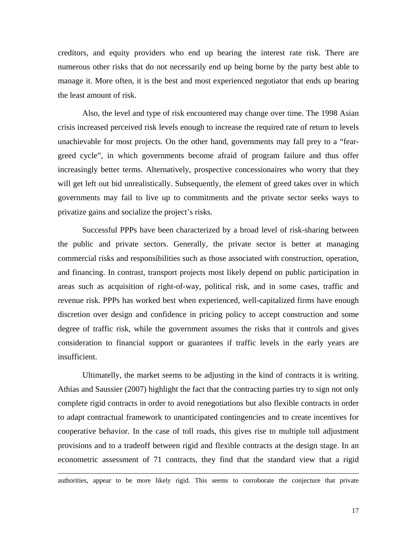creditors, and equity providers who end up bearing the interest rate risk. There are numerous other risks that do not necessarily end up being borne by the party best able to manage it. More often, it is the best and most experienced negotiator that ends up bearing the least amount of risk.

Also, the level and type of risk encountered may change over time. The 1998 Asian crisis increased perceived risk levels enough to increase the required rate of return to levels unachievable for most projects. On the other hand, governments may fall prey to a "feargreed cycle", in which governments become afraid of program failure and thus offer increasingly better terms. Alternatively, prospective concessionaires who worry that they will get left out bid unrealistically. Subsequently, the element of greed takes over in which governments may fail to live up to commitments and the private sector seeks ways to privatize gains and socialize the project's risks.

Successful PPPs have been characterized by a broad level of risk-sharing between the public and private sectors. Generally, the private sector is better at managing commercial risks and responsibilities such as those associated with construction, operation, and financing. In contrast, transport projects most likely depend on public participation in areas such as acquisition of right-of-way, political risk, and in some cases, traffic and revenue risk. PPPs has worked best when experienced, well-capitalized firms have enough discretion over design and confidence in pricing policy to accept construction and some degree of traffic risk, while the government assumes the risks that it controls and gives consideration to financial support or guarantees if traffic levels in the early years are insufficient.

Ultimatelly, the market seems to be adjusting in the kind of contracts it is writing. Athias and Saussier (2007) highlight the fact that the contracting parties try to sign not only complete rigid contracts in order to avoid renegotiations but also flexible contracts in order to adapt contractual framework to unanticipated contingencies and to create incentives for cooperative behavior. In the case of toll roads, this gives rise to multiple toll adjustment provisions and to a tradeoff between rigid and flexible contracts at the design stage. In an econometric assessment of 71 contracts, they find that the standard view that a rigid

authorities, appear to be more likely rigid. This seems to corroborate the conjecture that private

l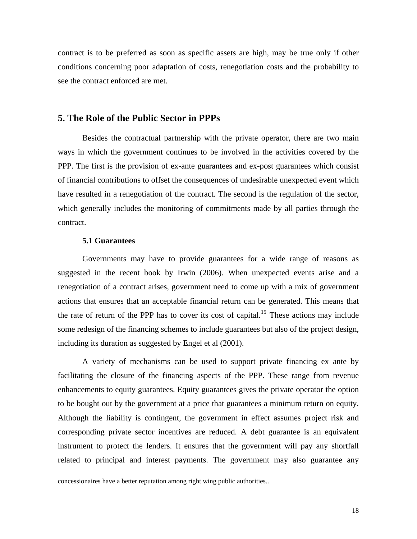contract is to be preferred as soon as specific assets are high, may be true only if other conditions concerning poor adaptation of costs, renegotiation costs and the probability to see the contract enforced are met.

#### **5. The Role of the Public Sector in PPPs**

Besides the contractual partnership with the private operator, there are two main ways in which the government continues to be involved in the activities covered by the PPP. The first is the provision of ex-ante guarantees and ex-post guarantees which consist of financial contributions to offset the consequences of undesirable unexpected event which have resulted in a renegotiation of the contract. The second is the regulation of the sector, which generally includes the monitoring of commitments made by all parties through the contract.

#### **5.1 Guarantees**

<span id="page-20-0"></span>l

Governments may have to provide guarantees for a wide range of reasons as suggested in the recent book by Irwin (2006). When unexpected events arise and a renegotiation of a contract arises, government need to come up with a mix of government actions that ensures that an acceptable financial return can be generated. This means that the rate of return of the PPP has to cover its cost of capital.<sup>[15](#page-20-0)</sup> These actions may include some redesign of the financing schemes to include guarantees but also of the project design, including its duration as suggested by Engel et al (2001).

A variety of mechanisms can be used to support private financing ex ante by facilitating the closure of the financing aspects of the PPP. These range from revenue enhancements to equity guarantees. Equity guarantees gives the private operator the option to be bought out by the government at a price that guarantees a minimum return on equity. Although the liability is contingent, the government in effect assumes project risk and corresponding private sector incentives are reduced. A debt guarantee is an equivalent instrument to protect the lenders. It ensures that the government will pay any shortfall related to principal and interest payments. The government may also guarantee any

concessionaires have a better reputation among right wing public authorities..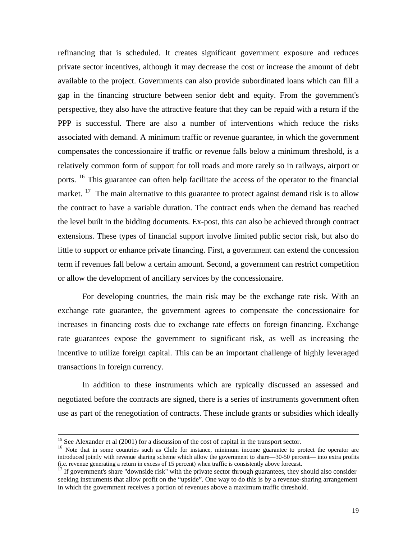refinancing that is scheduled. It creates significant government exposure and reduces private sector incentives, although it may decrease the cost or increase the amount of debt available to the project. Governments can also provide subordinated loans which can fill a gap in the financing structure between senior debt and equity. From the government's perspective, they also have the attractive feature that they can be repaid with a return if the PPP is successful. There are also a number of interventions which reduce the risks associated with demand. A minimum traffic or revenue guarantee, in which the government compensates the concessionaire if traffic or revenue falls below a minimum threshold, is a relatively common form of support for toll roads and more rarely so in railways, airport or ports. <sup>[16](#page-21-0)</sup> This guarantee can often help facilitate the access of the operator to the financial market. <sup>[17](#page-21-1)</sup> The main alternative to this guarantee to protect against demand risk is to allow the contract to have a variable duration. The contract ends when the demand has reached the level built in the bidding documents. Ex-post, this can also be achieved through contract extensions. These types of financial support involve limited public sector risk, but also do little to support or enhance private financing. First, a government can extend the concession term if revenues fall below a certain amount. Second, a government can restrict competition or allow the development of ancillary services by the concessionaire.

For developing countries, the main risk may be the exchange rate risk. With an exchange rate guarantee, the government agrees to compensate the concessionaire for increases in financing costs due to exchange rate effects on foreign financing. Exchange rate guarantees expose the government to significant risk, as well as increasing the incentive to utilize foreign capital. This can be an important challenge of highly leveraged transactions in foreign currency.

In addition to these instruments which are typically discussed an assessed and negotiated before the contracts are signed, there is a series of instruments government often use as part of the renegotiation of contracts. These include grants or subsidies which ideally

l

<span id="page-21-0"></span><sup>&</sup>lt;sup>15</sup> See Alexander et al (2001) for a discussion of the cost of capital in the transport sector.<br><sup>16</sup> Note that in some countries such as Chile for instance, minimum income guarantee to protect the operator are introduced jointly with revenue sharing scheme which allow the government to share—30-50 percent— into extra profits (i.e. revenue generating a return in excess of 15 percent) when traffic is consistently above forecast.  $17$  If government's share "downside risk" with the private sector through guarantees, they should also consider

<span id="page-21-1"></span>seeking instruments that allow profit on the "upside". One way to do this is by a revenue-sharing arrangement in which the government receives a portion of revenues above a maximum traffic threshold.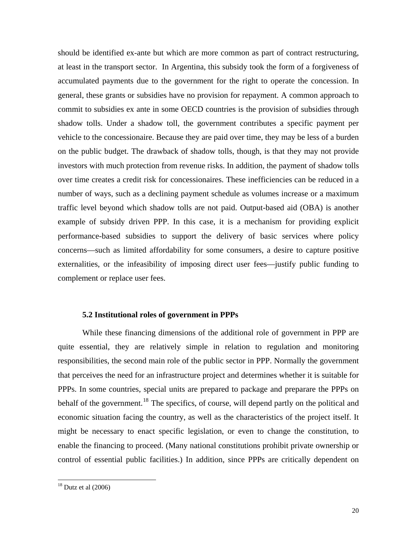should be identified ex-ante but which are more common as part of contract restructuring, at least in the transport sector. In Argentina, this subsidy took the form of a forgiveness of accumulated payments due to the government for the right to operate the concession. In general, these grants or subsidies have no provision for repayment. A common approach to commit to subsidies ex ante in some OECD countries is the provision of subsidies through shadow tolls. Under a shadow toll, the government contributes a specific payment per vehicle to the concessionaire. Because they are paid over time, they may be less of a burden on the public budget. The drawback of shadow tolls, though, is that they may not provide investors with much protection from revenue risks. In addition, the payment of shadow tolls over time creates a credit risk for concessionaires. These inefficiencies can be reduced in a number of ways, such as a declining payment schedule as volumes increase or a maximum traffic level beyond which shadow tolls are not paid. Output-based aid (OBA) is another example of subsidy driven PPP. In this case, it is a mechanism for providing explicit performance-based subsidies to support the delivery of basic services where policy concerns—such as limited affordability for some consumers, a desire to capture positive externalities, or the infeasibility of imposing direct user fees—justify public funding to complement or replace user fees.

#### **5.2 Institutional roles of government in PPPs**

While these financing dimensions of the additional role of government in PPP are quite essential, they are relatively simple in relation to regulation and monitoring responsibilities, the second main role of the public sector in PPP. Normally the government that perceives the need for an infrastructure project and determines whether it is suitable for PPPs. In some countries, special units are prepared to package and preparare the PPPs on behalf of the government.<sup>[18](#page-22-0)</sup> The specifics, of course, will depend partly on the political and economic situation facing the country, as well as the characteristics of the project itself. It might be necessary to enact specific legislation, or even to change the constitution, to enable the financing to proceed. (Many national constitutions prohibit private ownership or control of essential public facilities.) In addition, since PPPs are critically dependent on

<span id="page-22-0"></span> $18$  Dutz et al (2006)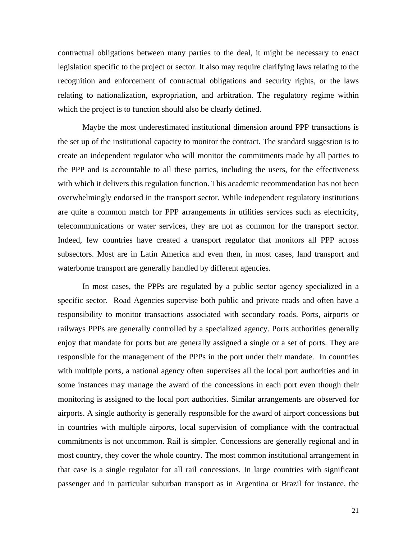contractual obligations between many parties to the deal, it might be necessary to enact legislation specific to the project or sector. It also may require clarifying laws relating to the recognition and enforcement of contractual obligations and security rights, or the laws relating to nationalization, expropriation, and arbitration. The regulatory regime within which the project is to function should also be clearly defined.

Maybe the most underestimated institutional dimension around PPP transactions is the set up of the institutional capacity to monitor the contract. The standard suggestion is to create an independent regulator who will monitor the commitments made by all parties to the PPP and is accountable to all these parties, including the users, for the effectiveness with which it delivers this regulation function. This academic recommendation has not been overwhelmingly endorsed in the transport sector. While independent regulatory institutions are quite a common match for PPP arrangements in utilities services such as electricity, telecommunications or water services, they are not as common for the transport sector. Indeed, few countries have created a transport regulator that monitors all PPP across subsectors. Most are in Latin America and even then, in most cases, land transport and waterborne transport are generally handled by different agencies.

In most cases, the PPPs are regulated by a public sector agency specialized in a specific sector. Road Agencies supervise both public and private roads and often have a responsibility to monitor transactions associated with secondary roads. Ports, airports or railways PPPs are generally controlled by a specialized agency. Ports authorities generally enjoy that mandate for ports but are generally assigned a single or a set of ports. They are responsible for the management of the PPPs in the port under their mandate. In countries with multiple ports, a national agency often supervises all the local port authorities and in some instances may manage the award of the concessions in each port even though their monitoring is assigned to the local port authorities. Similar arrangements are observed for airports. A single authority is generally responsible for the award of airport concessions but in countries with multiple airports, local supervision of compliance with the contractual commitments is not uncommon. Rail is simpler. Concessions are generally regional and in most country, they cover the whole country. The most common institutional arrangement in that case is a single regulator for all rail concessions. In large countries with significant passenger and in particular suburban transport as in Argentina or Brazil for instance, the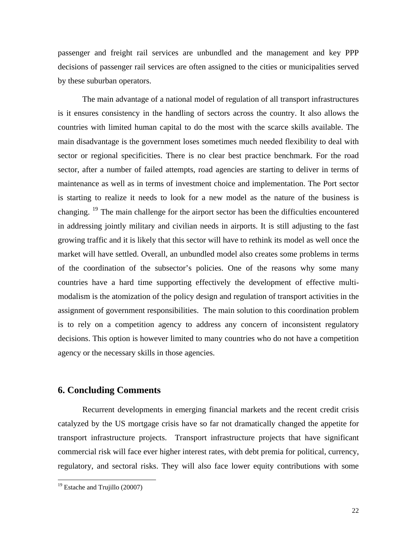passenger and freight rail services are unbundled and the management and key PPP decisions of passenger rail services are often assigned to the cities or municipalities served by these suburban operators.

The main advantage of a national model of regulation of all transport infrastructures is it ensures consistency in the handling of sectors across the country. It also allows the countries with limited human capital to do the most with the scarce skills available. The main disadvantage is the government loses sometimes much needed flexibility to deal with sector or regional specificities. There is no clear best practice benchmark. For the road sector, after a number of failed attempts, road agencies are starting to deliver in terms of maintenance as well as in terms of investment choice and implementation. The Port sector is starting to realize it needs to look for a new model as the nature of the business is changing. <sup>[19](#page-24-0)</sup> The main challenge for the airport sector has been the difficulties encountered in addressing jointly military and civilian needs in airports. It is still adjusting to the fast growing traffic and it is likely that this sector will have to rethink its model as well once the market will have settled. Overall, an unbundled model also creates some problems in terms of the coordination of the subsector's policies. One of the reasons why some many countries have a hard time supporting effectively the development of effective multimodalism is the atomization of the policy design and regulation of transport activities in the assignment of government responsibilities. The main solution to this coordination problem is to rely on a competition agency to address any concern of inconsistent regulatory decisions. This option is however limited to many countries who do not have a competition agency or the necessary skills in those agencies.

# **6. Concluding Comments**

Recurrent developments in emerging financial markets and the recent credit crisis catalyzed by the US mortgage crisis have so far not dramatically changed the appetite for transport infrastructure projects. Transport infrastructure projects that have significant commercial risk will face ever higher interest rates, with debt premia for political, currency, regulatory, and sectoral risks. They will also face lower equity contributions with some

<span id="page-24-0"></span><sup>&</sup>lt;sup>19</sup> Estache and Trujillo (20007)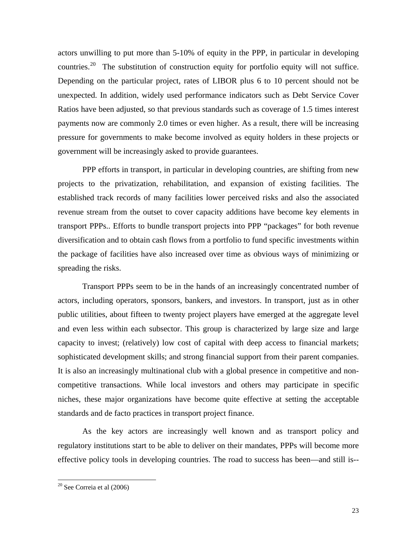actors unwilling to put more than 5-10% of equity in the PPP, in particular in developing countries.<sup>[20](#page-25-0)</sup> The substitution of construction equity for portfolio equity will not suffice. Depending on the particular project, rates of LIBOR plus 6 to 10 percent should not be unexpected. In addition, widely used performance indicators such as Debt Service Cover Ratios have been adjusted, so that previous standards such as coverage of 1.5 times interest payments now are commonly 2.0 times or even higher. As a result, there will be increasing pressure for governments to make become involved as equity holders in these projects or government will be increasingly asked to provide guarantees.

PPP efforts in transport, in particular in developing countries, are shifting from new projects to the privatization, rehabilitation, and expansion of existing facilities. The established track records of many facilities lower perceived risks and also the associated revenue stream from the outset to cover capacity additions have become key elements in transport PPPs.. Efforts to bundle transport projects into PPP "packages" for both revenue diversification and to obtain cash flows from a portfolio to fund specific investments within the package of facilities have also increased over time as obvious ways of minimizing or spreading the risks.

Transport PPPs seem to be in the hands of an increasingly concentrated number of actors, including operators, sponsors, bankers, and investors. In transport, just as in other public utilities, about fifteen to twenty project players have emerged at the aggregate level and even less within each subsector. This group is characterized by large size and large capacity to invest; (relatively) low cost of capital with deep access to financial markets; sophisticated development skills; and strong financial support from their parent companies. It is also an increasingly multinational club with a global presence in competitive and noncompetitive transactions. While local investors and others may participate in specific niches, these major organizations have become quite effective at setting the acceptable standards and de facto practices in transport project finance.

As the key actors are increasingly well known and as transport policy and regulatory institutions start to be able to deliver on their mandates, PPPs will become more effective policy tools in developing countries. The road to success has been—and still is--

<span id="page-25-0"></span> $20$  See Correia et al (2006)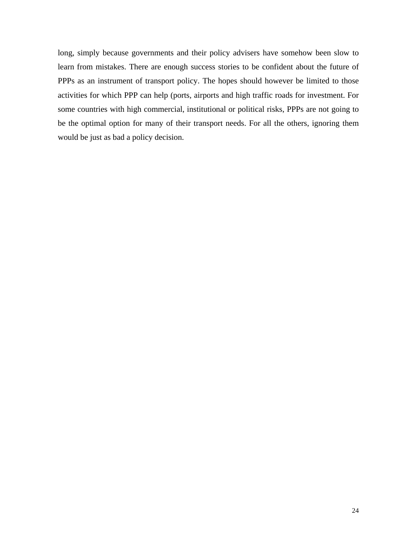long, simply because governments and their policy advisers have somehow been slow to learn from mistakes. There are enough success stories to be confident about the future of PPPs as an instrument of transport policy. The hopes should however be limited to those activities for which PPP can help (ports, airports and high traffic roads for investment. For some countries with high commercial, institutional or political risks, PPPs are not going to be the optimal option for many of their transport needs. For all the others, ignoring them would be just as bad a policy decision.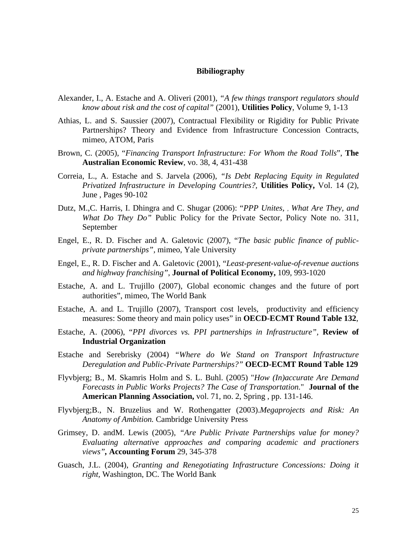#### **Bibiliography**

- Alexander, I., A. Estache and A. Oliveri (2001), *"A few things transport regulators should know about risk and the cost of capital"* (2001), **Utilities Policy**, Volume 9, 1-13
- Athias, L. and S. Saussier (2007), Contractual Flexibility or Rigidity for Public Private Partnerships? Theory and Evidence from Infrastructure Concession Contracts, mimeo, ATOM, Paris
- Brown, C. (2005), "*Financing Transport Infrastructure: For Whom the Road Tolls*", **The Australian Economic Review**, vo. 38, 4, 431-438
- Correia, L., A. Estache and S. Jarvela (2006), *"Is Debt Replacing Equity in Regulated Privatized Infrastructure in Developing Countries?,* **Utilities Policy,** Vol. 14 (2), June , Pages 90-102
- Dutz, M.,C. Harris, I. Dhingra and C. Shugar (2006): "*PPP Unites, , What Are They, and What Do They Do"* Public Policy for the Private Sector, Policy Note no. 311, September
- Engel, E., R. D. Fischer and A. Galetovic (2007), "*The basic public finance of publicprivate partnerships",* mimeo, Yale University
- Engel, E., R. D. Fischer and A. Galetovic (2001), "*Least-present-value-of-revenue auctions and highway franchising"*, **Journal of Political Economy,** 109, 993-1020
- Estache, A. and L. Trujillo (2007), Global economic changes and the future of port authorities", mimeo, The World Bank
- Estache, A. and L. Trujillo (2007), Transport cost levels, productivity and efficiency measures: Some theory and main policy uses" in **OECD-ECMT Round Table 132**,
- Estache, A. (2006), "*PPI divorces vs. PPI partnerships in Infrastructure",* **Review of Industrial Organization**
- Estache and Serebrisky (2004) *"Where do We Stand on Transport Infrastructure Deregulation and Public-Private Partnerships?"* **OECD-ECMT Round Table 129**
- Flyvbjerg; B., M. Skamris Holm and S. L. Buhl. (2005) "*[How \(In\)accurate Are Demand](http://flyvbjerg.plan.aau.dk/Traffic91PRINTJAPA.pdf)  [Forecasts in Public Works Projects? The Case of Transportation.](http://flyvbjerg.plan.aau.dk/Traffic91PRINTJAPA.pdf)*" **Journal of the American Planning Association,** vol. 71, no. 2, Spring , pp. 131-146.
- Flyvbjerg;B., N. Bruzelius and W. Rothengatter (2003).*[Megaprojects and Risk: An](http://www.amazon.com/exec/obidos/tg/detail/-/0521009464/)  [Anatomy of Ambition.](http://www.amazon.com/exec/obidos/tg/detail/-/0521009464/)* Cambridge University Press
- Grimsey, D. andM. Lewis (2005), *"Are Public Private Partnerships value for money? Evaluating alternative approaches and comparing academic and practioners views",* **Accounting Forum** 29, 345-378
- Guasch, J.L. (2004), *Granting and Renegotiating Infrastructure Concessions: Doing it right,* Washington, DC. The World Bank